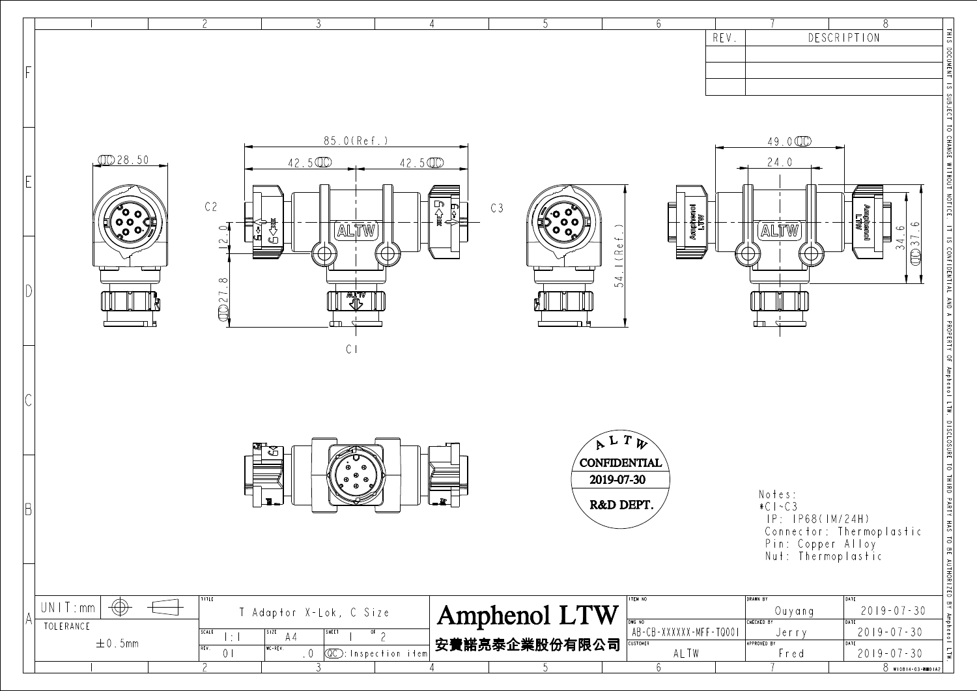|                          |                                                                                   | 4                          | 5                                  | 6                      |                                         | 8                                                                                              |
|--------------------------|-----------------------------------------------------------------------------------|----------------------------|------------------------------------|------------------------|-----------------------------------------|------------------------------------------------------------------------------------------------|
|                          |                                                                                   |                            |                                    | REV.                   |                                         | DESCRIPTION                                                                                    |
|                          |                                                                                   |                            |                                    |                        |                                         |                                                                                                |
| 0028.50                  | 85.0(Ref.)<br>42.500                                                              | 42.500                     |                                    |                        | 49.000<br>24.0                          |                                                                                                |
|                          |                                                                                   |                            |                                    |                        |                                         | THIS DOCUMENT IS SUBJECT TO CHANGE WITHOUT NOTICE.                                             |
| $\frac{1}{2}$            | C <sub>2</sub><br>€∕<br>ALTW<br>$\bigcirc$<br>¦∛<br>⊔<br>$\supseteq$              | C <sub>3</sub><br>P)<br>⊰⊱ | ့္<br>( ၁၀၀<br>( ၁၀ <u>၇</u><br>ED | wubppea<br>Jaun        | (ALTW                                   | <b>RAALTI</b><br>Needdau<br>$\subset$<br>目<br>$\infty$                                         |
|                          | $\infty$                                                                          |                            | (Ref<br>54                         |                        |                                         | IT IS CONFIDENTIAL AND A PROPERTY OF Amphenol LTW. DISCLOSURE TO THIRD PARTY HAS<br>$\bigcirc$ |
|                          | CO27<br>▓█▓<br>≺ৗৗ≻<br>╓┶╜                                                        |                            |                                    |                        |                                         |                                                                                                |
|                          | C <sub>1</sub>                                                                    |                            |                                    |                        |                                         |                                                                                                |
|                          |                                                                                   |                            |                                    |                        |                                         |                                                                                                |
|                          |                                                                                   |                            | $R$ L $T$ $\overline{\psi}$        |                        |                                         |                                                                                                |
|                          | 0<br>€                                                                            |                            | <b>CONFIDENTIAL</b><br>2019-07-30  |                        | Notes:                                  |                                                                                                |
|                          |                                                                                   |                            | R&D DEPT.                          |                        | $*C I \sim C 3$<br>IP: IP68(IM/24H)     | Connector: Thermoplastic                                                                       |
|                          |                                                                                   |                            |                                    |                        | Pin: Copper Alloy<br>Nut: Thermoplastic |                                                                                                |
| $\bigoplus$<br>UNIT:mm   | TITLE<br>T Adaptor X-Lok, C Size                                                  |                            | ITEM NO<br>Amphenol LTW<br>DWG NO  |                        | <b>DRAWN BY</b><br>Ouyang<br>CHECKED BY | TO BE AUTHORIZED BY Amphenol<br>DATE<br>$2019 - 07 - 30$<br>DATE                               |
| TOLERANCE<br>$\pm$ 0.5mm | SCALE<br>STE<br>SHEET<br>$\overline{or}$ 2<br>AA<br>$  \div  $                    |                            | 安費諾亮泰企業股份有限公司<br><b>CUSTOMER</b>   | AB-CB-XXXXXX-MFF-TQ001 | Jerry<br>APPROVED BY                    | $2019 - 07 - 30$<br>DATE                                                                       |
|                          | REV.<br>$WC - REV.$<br>0 <sup>1</sup><br><b>CC</b> : Inspection item<br>$\cdot$ 0 |                            | 5                                  | ALTW<br>6              | Fred                                    | $\overline{M}$<br>$2019 - 07 - 30$<br>8 W10814-03-8901A2                                       |